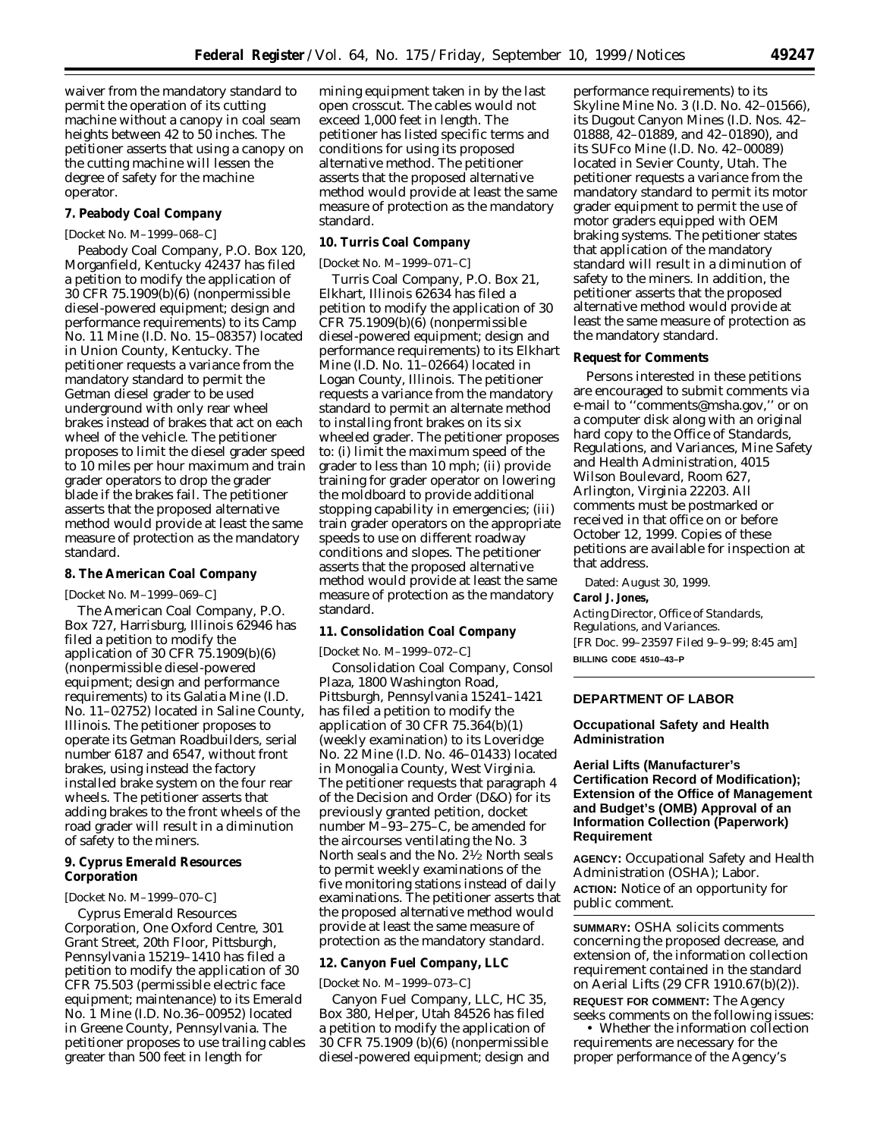waiver from the mandatory standard to permit the operation of its cutting machine without a canopy in coal seam heights between 42 to 50 inches. The petitioner asserts that using a canopy on the cutting machine will lessen the degree of safety for the machine operator.

### **7. Peabody Coal Company**

### [Docket No. M–1999–068–C]

Peabody Coal Company, P.O. Box 120, Morganfield, Kentucky 42437 has filed a petition to modify the application of 30 CFR 75.1909(b)(6) (nonpermissible diesel-powered equipment; design and performance requirements) to its Camp No. 11 Mine (I.D. No. 15–08357) located in Union County, Kentucky. The petitioner requests a variance from the mandatory standard to permit the Getman diesel grader to be used underground with only rear wheel brakes instead of brakes that act on each wheel of the vehicle. The petitioner proposes to limit the diesel grader speed to 10 miles per hour maximum and train grader operators to drop the grader blade if the brakes fail. The petitioner asserts that the proposed alternative method would provide at least the same measure of protection as the mandatory standard.

# **8. The American Coal Company**

[Docket No. M–1999–069–C]

The American Coal Company, P.O. Box 727, Harrisburg, Illinois 62946 has filed a petition to modify the application of 30 CFR 75.1909(b)(6) (nonpermissible diesel-powered equipment; design and performance requirements) to its Galatia Mine (I.D. No. 11–02752) located in Saline County, Illinois. The petitioner proposes to operate its Getman Roadbuilders, serial number 6187 and 6547, without front brakes, using instead the factory installed brake system on the four rear wheels. The petitioner asserts that adding brakes to the front wheels of the road grader will result in a diminution of safety to the miners.

# **9. Cyprus Emerald Resources Corporation**

# [Docket No. M–1999–070–C]

Cyprus Emerald Resources Corporation, One Oxford Centre, 301 Grant Street, 20th Floor, Pittsburgh, Pennsylvania 15219–1410 has filed a petition to modify the application of 30 CFR 75.503 (permissible electric face equipment; maintenance) to its Emerald No. 1 Mine (I.D. No.36–00952) located in Greene County, Pennsylvania. The petitioner proposes to use trailing cables greater than 500 feet in length for

mining equipment taken in by the last open crosscut. The cables would not exceed 1,000 feet in length. The petitioner has listed specific terms and conditions for using its proposed alternative method. The petitioner asserts that the proposed alternative method would provide at least the same measure of protection as the mandatory standard.

# **10. Turris Coal Company**

[Docket No. M–1999–071–C]

Turris Coal Company, P.O. Box 21, Elkhart, Illinois 62634 has filed a petition to modify the application of 30 CFR 75.1909(b)(6) (nonpermissible diesel-powered equipment; design and performance requirements) to its Elkhart Mine (I.D. No. 11–02664) located in Logan County, Illinois. The petitioner requests a variance from the mandatory standard to permit an alternate method to installing front brakes on its six wheeled grader. The petitioner proposes to: (i) limit the maximum speed of the grader to less than 10 mph; (ii) provide training for grader operator on lowering the moldboard to provide additional stopping capability in emergencies; (iii) train grader operators on the appropriate speeds to use on different roadway conditions and slopes. The petitioner asserts that the proposed alternative method would provide at least the same measure of protection as the mandatory standard.

#### **11. Consolidation Coal Company**

[Docket No. M–1999–072–C]

Consolidation Coal Company, Consol Plaza, 1800 Washington Road, Pittsburgh, Pennsylvania 15241–1421 has filed a petition to modify the application of 30 CFR 75.364(b)(1) (weekly examination) to its Loveridge No. 22 Mine (I.D. No. 46–01433) located in Monogalia County, West Virginia. The petitioner requests that paragraph 4 of the Decision and Order (D&O) for its previously granted petition, docket number M–93–275–C, be amended for the aircourses ventilating the No. 3 North seals and the No. 21⁄2 North seals to permit weekly examinations of the five monitoring stations instead of daily examinations. The petitioner asserts that the proposed alternative method would provide at least the same measure of protection as the mandatory standard.

### **12. Canyon Fuel Company, LLC**

## [Docket No. M–1999–073–C]

Canyon Fuel Company, LLC, HC 35, Box 380, Helper, Utah 84526 has filed a petition to modify the application of 30 CFR 75.1909 (b)(6) (nonpermissible diesel-powered equipment; design and

performance requirements) to its Skyline Mine No. 3 (I.D. No. 42–01566), its Dugout Canyon Mines (I.D. Nos. 42– 01888, 42–01889, and 42–01890), and its SUFco Mine (I.D. No. 42–00089) located in Sevier County, Utah. The petitioner requests a variance from the mandatory standard to permit its motor grader equipment to permit the use of motor graders equipped with OEM braking systems. The petitioner states that application of the mandatory standard will result in a diminution of safety to the miners. In addition, the petitioner asserts that the proposed alternative method would provide at least the same measure of protection as the mandatory standard.

#### **Request for Comments**

Persons interested in these petitions are encouraged to submit comments via e-mail to ''comments@msha.gov,'' or on a computer disk along with an original hard copy to the Office of Standards, Regulations, and Variances, Mine Safety and Health Administration, 4015 Wilson Boulevard, Room 627, Arlington, Virginia 22203. All comments must be postmarked or received in that office on or before October 12, 1999. Copies of these petitions are available for inspection at that address.

Dated: August 30, 1999.

# **Carol J. Jones,**

*Acting Director, Office of Standards, Regulations, and Variances.* [FR Doc. 99–23597 Filed 9–9–99; 8:45 am] **BILLING CODE 4510–43–P**

# **DEPARTMENT OF LABOR**

# **Occupational Safety and Health Administration**

# **Aerial Lifts (Manufacturer's Certification Record of Modification); Extension of the Office of Management and Budget's (OMB) Approval of an Information Collection (Paperwork) Requirement**

**AGENCY:** Occupational Safety and Health Administration (OSHA); Labor. **ACTION:** Notice of an opportunity for public comment.

**SUMMARY:** OSHA solicits comments concerning the proposed decrease, and extension of, the information collection requirement contained in the standard on Aerial Lifts (29 CFR 1910.67(b)(2)). **REQUEST FOR COMMENT:** The Agency seeks comments on the following issues:

• Whether the information collection requirements are necessary for the proper performance of the Agency's